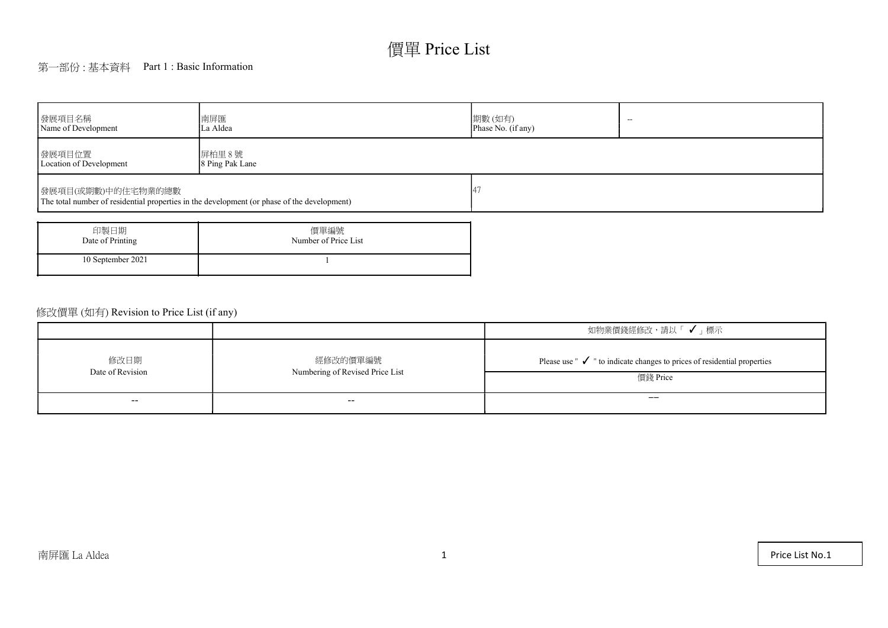# 價單 Price List

## 第一部份 : 基本資料 Part 1 : Basic Information

| 發展項目名稱<br>Name of Development                                                                                     | 南屏匯<br>La Aldea              | 期數(如有)<br>$\overline{\phantom{a}}$<br>Phase No. (if any) |  |  |  |  |  |  |
|-------------------------------------------------------------------------------------------------------------------|------------------------------|----------------------------------------------------------|--|--|--|--|--|--|
| 發展項目位置<br>Location of Development                                                                                 | 屏柏里 8號<br>8 Ping Pak Lane    |                                                          |  |  |  |  |  |  |
| 發展項目(或期數)中的住宅物業的總數<br>The total number of residential properties in the development (or phase of the development) |                              |                                                          |  |  |  |  |  |  |
| 印製日期<br>Date of Printing                                                                                          | 價單編號<br>Number of Price List |                                                          |  |  |  |  |  |  |

1

|  | 修改價單 (如有) Revision to Price List (if any) |  |  |
|--|-------------------------------------------|--|--|
|--|-------------------------------------------|--|--|

10 September 2021

|                                               |                                             | 如物業價錢經修改,請以「 ✔ 」 標示                                                                            |  |
|-----------------------------------------------|---------------------------------------------|------------------------------------------------------------------------------------------------|--|
| 修改日期<br>Date of Revision                      | 經修改的價單編號<br>Numbering of Revised Price List | Please use $"\checkmark$ " to indicate changes to prices of residential properties<br>價錢 Price |  |
| $\mathord{\hspace{1pt}\text{--}\hspace{1pt}}$ | $- -$                                       | $- -$                                                                                          |  |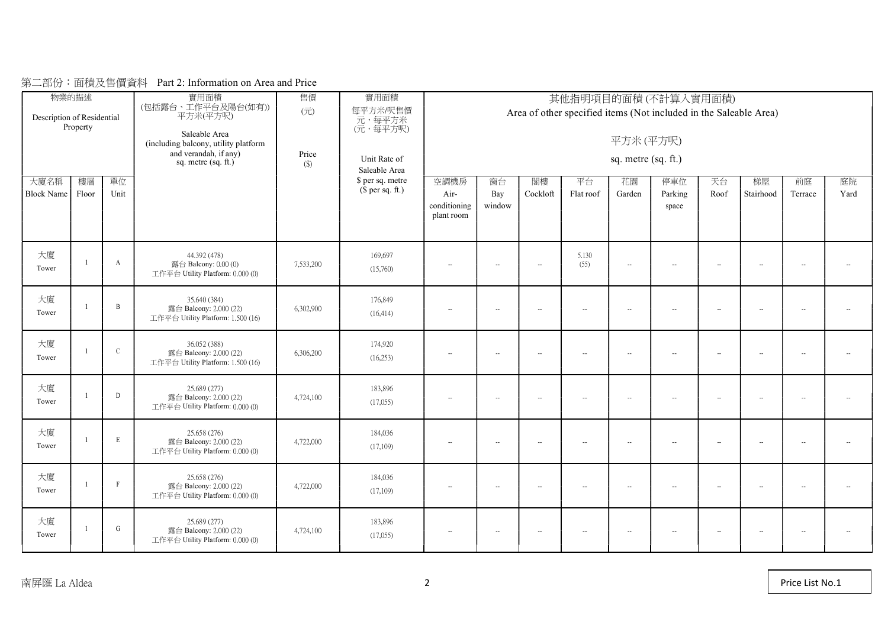| Description of Residential<br>大廈名稱<br>Block Name | 物業的描述<br>Property<br>樓層<br>Floor | 單位<br>Unit   | 實用面積<br>(包括露台、工作平台及陽台(如有))<br>平方米(平方呎)<br>Saleable Area<br>(including balcony, utility platform<br>and verandah, if any)<br>sq. metre $(sq. ft.)$ | 售價<br>$(\overrightarrow{\pi})$<br>Price<br>$(\$)$ | 實用面積<br>每平方米/呎售價<br>元,每平方米<br>(元,每平方呎)<br>Unit Rate of<br>Saleable Area<br>\$ per sq. metre<br>$$$ per sq. ft.) | 空調機房<br>Air-<br>conditioning<br>plant room | 其他指明項目的面積(不計算入實用面積)<br>Area of other specified items (Not included in the Saleable Area)<br>平方米(平方呎)<br>sq. metre (sq. ft.)<br>閣樓<br>庭院<br>窗台<br>平台<br>花園<br>停車位<br>天台<br>梯屋<br>前庭<br>Cockloft<br>Parking<br>Stairhood<br>Yard<br>Bay<br>Flat roof<br>Garden<br>Roof<br>Terrace<br>window<br>space |                          |                          |                          |                          |                          |                          |                          |                          |  |  |  |
|--------------------------------------------------|----------------------------------|--------------|---------------------------------------------------------------------------------------------------------------------------------------------------|---------------------------------------------------|-----------------------------------------------------------------------------------------------------------------|--------------------------------------------|----------------------------------------------------------------------------------------------------------------------------------------------------------------------------------------------------------------------------------------------------------------------------------------------------|--------------------------|--------------------------|--------------------------|--------------------------|--------------------------|--------------------------|--------------------------|--------------------------|--|--|--|
|                                                  |                                  |              |                                                                                                                                                   |                                                   |                                                                                                                 |                                            |                                                                                                                                                                                                                                                                                                    |                          |                          |                          |                          |                          |                          |                          |                          |  |  |  |
| 大廈<br>Tower                                      |                                  | $\mathbf{A}$ | 44.392 (478)<br>露台 Balcony: $0.00(0)$<br>工作平台 Utility Platform: 0.000 (0)                                                                         | 7,533,200                                         | 169,697<br>(15,760)                                                                                             | $\sim$                                     | $\sim$                                                                                                                                                                                                                                                                                             | $\sim$                   | 5.130<br>(55)            | $\overline{\phantom{a}}$ | $\overline{a}$           | $\overline{\phantom{a}}$ | $\sim$                   | $\overline{\phantom{a}}$ | $\overline{\phantom{a}}$ |  |  |  |
| 大廈<br>Tower                                      |                                  | $\mathbf{B}$ | 35.640 (384)<br>露台 Balcony: 2.000 (22)<br>工作平台 Utility Platform: 1.500 (16)                                                                       | 6,302,900                                         | 176,849<br>(16, 414)                                                                                            | $\overline{\phantom{a}}$                   | $\overline{\phantom{a}}$                                                                                                                                                                                                                                                                           | $\overline{\phantom{a}}$ | $\overline{\phantom{a}}$ | $\sim$                   | $\overline{\phantom{a}}$ | $\overline{\phantom{a}}$ | $\overline{\phantom{a}}$ | $\overline{\phantom{a}}$ | $\overline{\phantom{a}}$ |  |  |  |
| 大廈<br>Tower                                      |                                  | $\mathbf C$  | 36.052 (388)<br>露台 Balcony: 2.000 (22)<br>工作平台 Utility Platform: 1.500 (16)                                                                       | 6,306,200                                         | 174,920<br>(16,253)                                                                                             | $\overline{\phantom{a}}$                   | $\overline{\phantom{a}}$                                                                                                                                                                                                                                                                           | $\sim$                   | $\overline{\phantom{a}}$ | $\overline{\phantom{a}}$ | $\overline{\phantom{a}}$ | $\overline{\phantom{a}}$ | $\overline{\phantom{a}}$ | $\overline{\phantom{a}}$ | $\overline{\phantom{a}}$ |  |  |  |
| 大廈<br>Tower                                      |                                  | D            | 25.689 (277)<br>露台 Balcony: 2.000 (22)<br>工作平台 Utility Platform: 0.000 (0)                                                                        | 4,724,100                                         | 183,896<br>(17,055)                                                                                             | $\overline{\phantom{a}}$                   | $\sim$                                                                                                                                                                                                                                                                                             | $\sim$                   | $\overline{\phantom{a}}$ | $\sim$                   | $\sim$                   | $\sim$                   | $\sim$                   | $\sim$                   | $\mathbf{L}$             |  |  |  |
| 大廈<br>Tower                                      |                                  | $\,$ E       | 25.658 (276)<br>露台 Balcony: 2,000 (22)<br>工作平台 Utility Platform: 0.000 (0)                                                                        | 4,722,000                                         | 184,036<br>(17,109)                                                                                             | $\overline{\phantom{a}}$                   | $\overline{\phantom{a}}$                                                                                                                                                                                                                                                                           | $\sim$                   | $\overline{\phantom{a}}$ | $\sim$                   | $\overline{\phantom{a}}$ | $\overline{\phantom{a}}$ | $\overline{\phantom{a}}$ | $\overline{\phantom{a}}$ | $\overline{\phantom{a}}$ |  |  |  |
| 大廈<br>Tower                                      |                                  | $\mathbf{F}$ | 25.658 (276)<br>露台 Balcony: 2.000 (22)<br>工作平台 Utility Platform: 0.000 (0)                                                                        | 4,722,000                                         | 184,036<br>(17,109)                                                                                             | $\overline{\phantom{a}}$                   | $\overline{\phantom{a}}$                                                                                                                                                                                                                                                                           | $\overline{\phantom{a}}$ | $\overline{\phantom{a}}$ | $\overline{\phantom{a}}$ | $\overline{a}$           | $\sim$                   | $\overline{\phantom{a}}$ | $\sim$                   | $\overline{\phantom{a}}$ |  |  |  |
| 大廈<br>Tower                                      |                                  | G            | 25.689 (277)<br>露台 Balcony: 2.000 (22)<br>工作平台 Utility Platform: 0.000 (0)                                                                        | 4,724,100                                         | 183,896<br>(17,055)                                                                                             | $\overline{\phantom{a}}$                   | $\overline{\phantom{a}}$                                                                                                                                                                                                                                                                           | $\sim$                   | $\overline{\phantom{a}}$ | $\sim$                   | $\overline{\phantom{a}}$ | $\overline{\phantom{a}}$ | $\overline{\phantom{a}}$ | $\overline{\phantom{a}}$ | $\overline{\phantom{a}}$ |  |  |  |

## 第二部份:面積及售價資料 Part 2: Information on Area and Price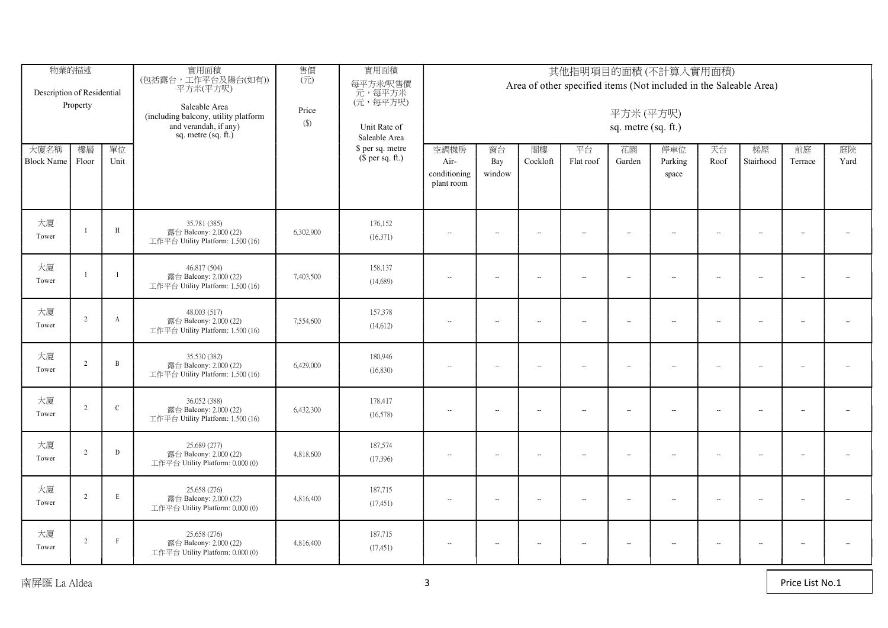| Description of Residential | 物業的描述<br>Property |                | 實用面積<br>(包括露台,工作平台及陽台(如有))<br>平方米(平方呎)<br>Saleable Area<br>(including balcony, utility platform<br>and verandah, if any)<br>sq. metre $(sq. ft.)$ | 售價<br>$(\vec{\pi})$<br>Price<br>$(\$)$ | 實用面積<br>每平方米/呎售價<br>元,每平方米<br>(元,每平方呎)<br>Unit Rate of<br>Saleable Area |                                            | 其他指明項目的面積(不計算入實用面積)<br>Area of other specified items (Not included in the Saleable Area)<br>平方米(平方呎)<br>sq. metre (sq. ft.) |                          |                 |                          |                             |                     |                          |                          |                          |
|----------------------------|-------------------|----------------|---------------------------------------------------------------------------------------------------------------------------------------------------|----------------------------------------|-------------------------------------------------------------------------|--------------------------------------------|-----------------------------------------------------------------------------------------------------------------------------|--------------------------|-----------------|--------------------------|-----------------------------|---------------------|--------------------------|--------------------------|--------------------------|
| 大廈名稱<br>Block Name Floor   | 樓層                | 單位<br>Unit     |                                                                                                                                                   |                                        | \$ per sq. metre<br>$$$ per sq. ft.)                                    | 空調機房<br>Air-<br>conditioning<br>plant room | 窗台<br>Bay<br>window                                                                                                         | 閣樓<br>Cockloft           | 平台<br>Flat roof | 花園<br>Garden             | 停車位<br>Parking<br>space     | 天台<br>Roof          | 梯屋<br>Stairhood          | 前庭<br>Terrace            | 庭院<br>Yard               |
| 大廈<br>Tower                |                   | H              | 35.781 (385)<br>露台 Balcony: 2.000 (22)<br>工作平台 Utility Platform: 1.500 (16)                                                                       | 6,302,900                              | 176,152<br>(16,371)                                                     | $\sim$                                     | $\sim$                                                                                                                      | $\overline{\phantom{a}}$ | $\sim$          | $\sim$                   | $\sim$                      | $\sim$              | $\overline{\phantom{a}}$ | $\sim$                   | $\overline{\phantom{a}}$ |
| 大廈<br>Tower                |                   | $\mathbf{I}$   | 46.817 (504)<br>露台 Balcony: 2.000 (22)<br>工作平台 Utility Platform: 1.500 (16)                                                                       | 7,403,500                              | 158,137<br>(14,689)                                                     | $\sim$                                     | $\overline{\phantom{a}}$                                                                                                    | $\sim$                   | $\sim$          | $\sim$                   | $\sim$                      | $\sim$              | $\overline{\phantom{a}}$ | $\overline{\phantom{a}}$ | $\overline{\phantom{a}}$ |
| 大廈<br>Tower                | 2                 | $\mathbf{A}$   | 48.003 (517)<br>露台 Balcony: 2.000 (22)<br>工作平台 Utility Platform: 1.500 (16)                                                                       | 7,554,600                              | 157,378<br>(14, 612)                                                    | $\mathbf{L}$                               | $\overline{\phantom{a}}$                                                                                                    | $\overline{\phantom{a}}$ | $\sim$          | $\sim$                   | $\sim$                      | $\sim$              | $\sim$                   | $\sim$                   | $\mathbf{L}$             |
| 大廈<br>Tower                | $\mathcal{L}$     | $\overline{B}$ | 35.530 (382)<br>露台 Balcony: 2.000 (22)<br>工作平台 Utility Platform: 1.500 (16)                                                                       | 6,429,000                              | 180,946<br>(16,830)                                                     | $\overline{\phantom{a}}$                   | $\overline{\phantom{a}}$                                                                                                    | $\sim$                   | $\sim$          | $\sim$                   | $\sim$                      | $\sim$              | $\overline{\phantom{a}}$ | $\sim$                   | $\sim$                   |
| 大廈<br>Tower                | $\mathcal{L}$     | $\mathcal{C}$  | 36.052 (388)<br>露台 Balcony: 2.000 (22)<br>工作平台 Utility Platform: 1.500 (16)                                                                       | 6,432,300                              | 178,417<br>(16,578)                                                     | $\sim$                                     | $\overline{\phantom{a}}$                                                                                                    | $\overline{\phantom{a}}$ | $\sim$          | $\sim$                   | $\mathcal{L}_{\mathcal{F}}$ | $\sim$              | $\sim$                   | $\sim$                   | $\sim$                   |
| 大廈<br>Tower                | 2                 | $\mathbb D$    | 25.689 (277)<br>露台 Balcony: 2.000 (22)<br>工作平台 Utility Platform: 0.000 (0)                                                                        | 4,818,600                              | 187,574<br>(17,396)                                                     | $\overline{\phantom{a}}$                   | $\sim$                                                                                                                      | $\overline{\phantom{a}}$ | $\sim$          | $\overline{\phantom{a}}$ | $\sim$                      | $\sim$              | $\overline{\phantom{a}}$ | $\sim$                   | $\overline{\phantom{a}}$ |
| 大廈<br>Tower                | 2                 | E              | 25.658 (276)<br>露台 Balcony: 2.000 (22)<br>工作平台 Utility Platform: 0.000 (0)                                                                        | 4,816,400                              | 187,715<br>(17, 451)                                                    | $\overline{\phantom{a}}$                   | $\overline{\phantom{a}}$                                                                                                    | $\overline{\phantom{a}}$ | $\sim$          | $\overline{\phantom{a}}$ | $\sim$                      | $\sim$              | $\overline{\phantom{a}}$ | $\sim$                   | $\overline{\phantom{a}}$ |
| 大廈<br>Tower                | 2                 | $\mathbf{F}$   | 25.658 (276)<br>露台 Balcony: 2.000 (22)<br>工作平台 Utility Platform: 0.000 (0)                                                                        | 4,816,400                              | 187,715<br>(17, 451)                                                    | $\sim$                                     | $\sim$                                                                                                                      | $\overline{\phantom{a}}$ | $\sim$          | $\sim$                   | $\sim$                      | $\bar{\phantom{a}}$ | $\sim$                   | $\sim$                   | $\overline{\phantom{a}}$ |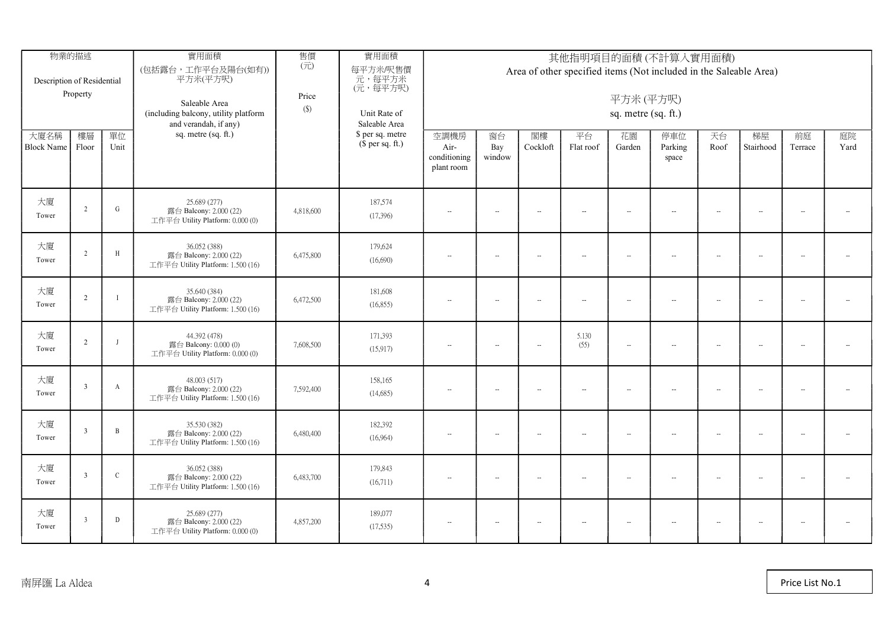| Description of Residential | 物業的描述<br>Property       |                | 實用面積<br>(包括露台,工作平台及陽台(如有))<br>平方米(平方呎)<br>Saleable Area<br>(including balcony, utility platform<br>and verandah, if any) | 售價<br>$(\overrightarrow{\pi})$<br>Price<br>$(\$)$ | 實用面積<br>每平方米/呎售價<br>元,每平方米<br>(元,每平方呎)<br>Unit Rate of<br>Saleable Area |                                            | 其他指明項目的面積(不計算入實用面積)<br>Area of other specified items (Not included in the Saleable Area)<br>平方米(平方呎)<br>sq. metre (sq. ft.) |                          |                 |                          |                          |                          |                          |                          |                          |
|----------------------------|-------------------------|----------------|--------------------------------------------------------------------------------------------------------------------------|---------------------------------------------------|-------------------------------------------------------------------------|--------------------------------------------|-----------------------------------------------------------------------------------------------------------------------------|--------------------------|-----------------|--------------------------|--------------------------|--------------------------|--------------------------|--------------------------|--------------------------|
| 大廈名稱<br><b>Block Name</b>  | 樓層<br>Floor             | 單位<br>Unit     | sq. metre (sq. ft.)                                                                                                      |                                                   | \$ per sq. metre<br>$$$ per sq. ft.)                                    | 空調機房<br>Air-<br>conditioning<br>plant room | 窗台<br>Bay<br>window                                                                                                         | 閣樓<br>Cockloft           | 平台<br>Flat roof | 花園<br>Garden             | 停車位<br>Parking<br>space  | 天台<br>Roof               | 梯屋<br>Stairhood          | 前庭<br>Terrace            | 庭院<br>Yard               |
| 大廈<br>Tower                | $\gamma$                | ${\rm G}$      | 25.689 (277)<br>露台 Balcony: 2.000 (22)<br>工作平台 Utility Platform: 0.000 (0)                                               | 4,818,600                                         | 187,574<br>(17,396)                                                     | $\sim$                                     | $\overline{\phantom{a}}$                                                                                                    | $\sim$                   | $\sim$          | $\overline{\phantom{a}}$ | $\sim$                   | $\overline{\phantom{a}}$ | $\sim$                   | $\overline{\phantom{a}}$ | $\overline{\phantom{a}}$ |
| 大廈<br>Tower                | $\overline{2}$          | H              | 36.052 (388)<br>露台 Balcony: 2.000 (22)<br>工作平台 Utility Platform: 1.500 (16)                                              | 6,475,800                                         | 179,624<br>(16,690)                                                     | $\overline{\phantom{a}}$                   | $\overline{\phantom{a}}$                                                                                                    | $\overline{\phantom{a}}$ | $\sim$          | $\sim$                   | $\sim$                   | $\sim$                   | $\overline{\phantom{a}}$ | $\overline{\phantom{a}}$ | $\overline{\phantom{a}}$ |
| 大廈<br>Tower                | $\overline{2}$          | $\mathbf{I}$   | 35,640 (384)<br>露台 Balcony: 2.000 (22)<br>工作平台 Utility Platform: 1.500 (16)                                              | 6,472,500                                         | 181,608<br>(16, 855)                                                    | $\sim$                                     | $\sim$                                                                                                                      | $\sim$                   | $\sim$          | $\sim$                   | $\sim$                   | $\sim$                   | $\overline{\phantom{a}}$ | $\sim$                   | $\overline{\phantom{a}}$ |
| 大廈<br>Tower                | $\overline{2}$          | $\mathbf{I}$   | 44.392 (478)<br>露台 Balcony: 0.000 (0)<br>工作平台 Utility Platform: 0.000 (0)                                                | 7,608,500                                         | 171,393<br>(15,917)                                                     | $\overline{\phantom{a}}$                   | $\sim$                                                                                                                      | $\overline{\phantom{a}}$ | 5.130<br>(55)   | $\overline{\phantom{a}}$ | $\overline{\phantom{a}}$ | $\ddot{\phantom{a}}$     | $\overline{\phantom{a}}$ | $\overline{\phantom{a}}$ | $\overline{\phantom{a}}$ |
| 大廈<br>Tower                | $\overline{\mathbf{3}}$ | $\mathbf{A}$   | 48.003 (517)<br>露台 Balcony: 2.000 (22)<br>工作平台 Utility Platform: 1.500 (16)                                              | 7,592,400                                         | 158,165<br>(14,685)                                                     | $\overline{\phantom{a}}$                   | $\sim$                                                                                                                      | $\overline{\phantom{a}}$ | $\sim$          | $\sim$                   | $\sim$                   | $\ddot{\phantom{a}}$     | $\overline{\phantom{a}}$ | $\overline{\phantom{a}}$ | $\overline{\phantom{a}}$ |
| 大廈<br>Tower                | $\overline{3}$          | $\overline{B}$ | 35.530 (382)<br>露台 Balcony: 2.000 (22)<br>工作平台 Utility Platform: 1.500 (16)                                              | 6,480,400                                         | 182,392<br>(16,964)                                                     | $\sim$                                     | $\overline{\phantom{a}}$                                                                                                    | $\sim$                   | $\sim$          | $\sim$                   | $-$                      | $\sim$                   | $\sim$                   | $\overline{\phantom{a}}$ | $\sim$                   |
| 大廈<br>Tower                | $\mathcal{R}$           | $\mathsf C$    | 36.052 (388)<br>露台 Balcony: 2.000 (22)<br>工作平台 Utility Platform: 1.500 (16)                                              | 6,483,700                                         | 179,843<br>(16,711)                                                     | $\overline{\phantom{a}}$                   | $\sim$                                                                                                                      | $\overline{\phantom{a}}$ | $\sim$          | $\sim$                   | $\sim$                   | $\ddot{\phantom{a}}$     | $\overline{\phantom{a}}$ | $\overline{\phantom{a}}$ | $\overline{\phantom{a}}$ |
| 大廈<br>Tower                |                         | D              | 25.689 (277)<br>露台 Balcony: 2.000 (22)<br>工作平台 Utility Platform: 0.000 (0)                                               | 4,857,200                                         | 189,077<br>(17,535)                                                     | $\overline{\phantom{a}}$                   | $\overline{\phantom{a}}$                                                                                                    | $\overline{\phantom{a}}$ | $\sim$          | $\sim$                   | $\sim$                   | $\sim$                   | $\overline{\phantom{a}}$ | $\overline{\phantom{a}}$ | $\overline{\phantom{a}}$ |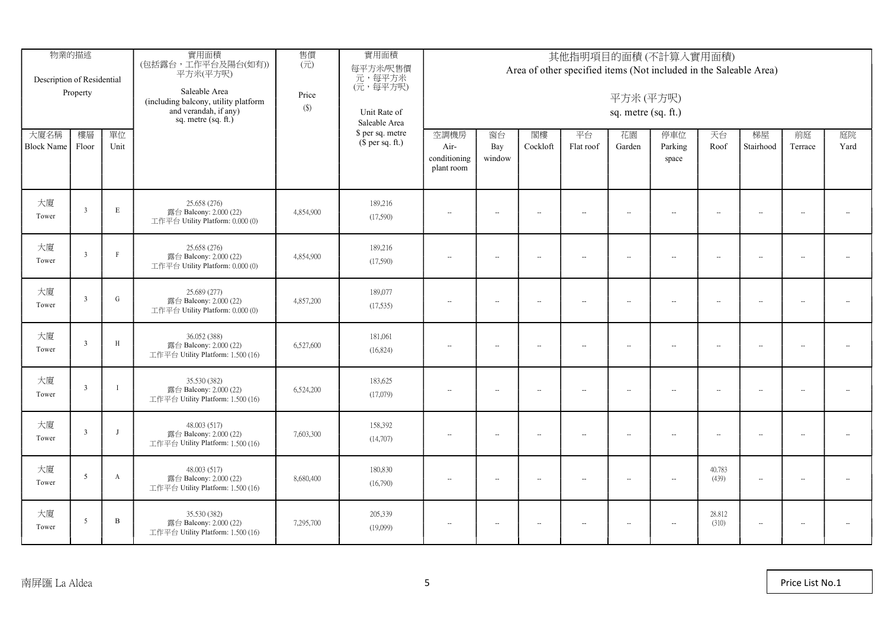| Description of Residential | 物業的描述<br>Property        |              | 實用面積<br>(包括露台,工作平台及陽台(如有))<br>平方米(平方呎)<br>Saleable Area<br>(including balcony, utility platform<br>and verandah, if any)<br>sq. metre $(sq. ft.)$ | 售價<br>$(\overrightarrow{\pi})$<br>Price<br>$(\$)$ | 實用面積<br>每平方米/呎售價<br>元,每平方米<br>(元,每平方呎)<br>Unit Rate of<br>Saleable Area |                                            | 其他指明項目的面積(不計算入實用面積)<br>Area of other specified items (Not included in the Saleable Area)<br>平方米(平方呎)<br>sq. metre (sq. ft.) |                          |                             |                          |                         |                 |                          |                          |                          |  |
|----------------------------|--------------------------|--------------|---------------------------------------------------------------------------------------------------------------------------------------------------|---------------------------------------------------|-------------------------------------------------------------------------|--------------------------------------------|-----------------------------------------------------------------------------------------------------------------------------|--------------------------|-----------------------------|--------------------------|-------------------------|-----------------|--------------------------|--------------------------|--------------------------|--|
| 大廈名稱<br>Block Name Floor   | 樓層                       | 單位<br>Unit   |                                                                                                                                                   |                                                   | \$ per sq. metre<br>$$$ per sq. ft.)                                    | 空調機房<br>Air-<br>conditioning<br>plant room | 窗台<br>Bay<br>window                                                                                                         | 閣樓<br>Cockloft           | 平台<br>Flat roof             | 花園<br>Garden             | 停車位<br>Parking<br>space | 天台<br>Roof      | 梯屋<br>Stairhood          | 前庭<br>Terrace            | 庭院<br>Yard               |  |
| 大廈<br>Tower                | $\overline{3}$           | $\mathbf E$  | 25.658 (276)<br>露台 Balcony: 2.000 (22)<br>工作平台 Utility Platform: 0.000 (0)                                                                        | 4,854,900                                         | 189,216<br>(17,590)                                                     | $\sim$                                     | $-$                                                                                                                         | $\sim$                   | $\sim$                      | $\sim$                   | $\sim$                  | $\sim$          |                          | $\overline{\phantom{a}}$ | $\sim$                   |  |
| 大廈<br>Tower                | $\overline{3}$           | $\Gamma$     | 25.658 (276)<br>露台 Balcony: 2.000 (22)<br>工作平台 Utility Platform: 0.000 (0)                                                                        | 4,854,900                                         | 189,216<br>(17,590)                                                     | $\sim$                                     | $\overline{\phantom{a}}$                                                                                                    | $\sim$                   | $\mathcal{L}_{\mathcal{F}}$ | $\sim$                   | $\sim$                  | $\sim$          | $\sim$                   | $\overline{\phantom{a}}$ | $\overline{\phantom{a}}$ |  |
| 大廈<br>Tower                | $\overline{\mathbf{3}}$  | ${\bf G}$    | 25.689 (277)<br>露台 Balcony: 2.000 (22)<br>工作平台 Utility Platform: 0.000 (0)                                                                        | 4,857,200                                         | 189,077<br>(17,535)                                                     | $\overline{\phantom{a}}$                   | $\sim$                                                                                                                      | $\overline{\phantom{a}}$ | $\sim$                      | $\overline{\phantom{a}}$ | $\sim$                  | $\sim$          | $\overline{\phantom{a}}$ | $\overline{\phantom{a}}$ | $\overline{\phantom{a}}$ |  |
| 大廈<br>Tower                | 3                        | $\,$ H       | 36.052 (388)<br>露台 Balcony: 2.000 (22)<br>工作平台 Utility Platform: 1.500 (16)                                                                       | 6,527,600                                         | 181,061<br>(16,824)                                                     | $\overline{\phantom{a}}$                   | $\overline{\phantom{a}}$                                                                                                    | $\overline{\phantom{a}}$ | $\sim$                      | $\sim$                   | $\sim$                  | $\sim$          | $\overline{\phantom{a}}$ | $\overline{\phantom{a}}$ | $\overline{\phantom{a}}$ |  |
| 大廈<br>Tower                | $\overline{3}$           | $\mathbf{I}$ | 35.530 (382)<br>露台 Balcony: 2.000 (22)<br>工作平台 Utility Platform: 1.500 (16)                                                                       | 6,524,200                                         | 183,625<br>(17,079)                                                     | $\overline{\phantom{a}}$                   | $\sim$                                                                                                                      | $\sim$                   | $\sim$                      | $\sim$                   | $\sim$                  | $\ddotsc$       | $\overline{\phantom{a}}$ | $\overline{\phantom{a}}$ | $\overline{\phantom{a}}$ |  |
| 大廈<br>Tower                | $\overline{3}$           | $\mathbf{J}$ | 48,003 (517)<br>露台 Balcony: 2.000 (22)<br>工作平台 Utility Platform: 1.500 (16)                                                                       | 7,603,300                                         | 158,392<br>(14,707)                                                     | $\overline{\phantom{a}}$                   | $\overline{\phantom{a}}$                                                                                                    | $\sim$                   | $\sim$                      | $\ddot{\phantom{a}}$     | $\sim$                  | $\sim$          | $\sim$                   | $\overline{\phantom{a}}$ | $\overline{\phantom{a}}$ |  |
| 大廈<br>Tower                | -5                       | $\mathbf{A}$ | 48,003 (517)<br>露台 Balcony: 2.000 (22)<br>工作平台 Utility Platform: 1.500 (16)                                                                       | 8,680,400                                         | 180,830<br>(16,790)                                                     | $\sim$                                     | $\overline{\phantom{a}}$                                                                                                    | $\overline{\phantom{a}}$ | $-$                         | $\sim$                   | $-$                     | 40.783<br>(439) | $\overline{\phantom{a}}$ | $\overline{\phantom{a}}$ | $\sim$                   |  |
| 大廈<br>Tower                | $\overline{\phantom{a}}$ | $\mathbf B$  | 35.530 (382)<br>露台 Balcony: 2.000 (22)<br>工作平台 Utility Platform: 1.500 (16)                                                                       | 7,295,700                                         | 205,339<br>(19,099)                                                     | $\overline{\phantom{a}}$                   | $\overline{\phantom{a}}$                                                                                                    | $\overline{\phantom{a}}$ | $\sim$                      | $\ddot{\phantom{a}}$     | $\sim$                  | 28.812<br>(310) | $\sim$                   | $\overline{\phantom{a}}$ | $\overline{\phantom{a}}$ |  |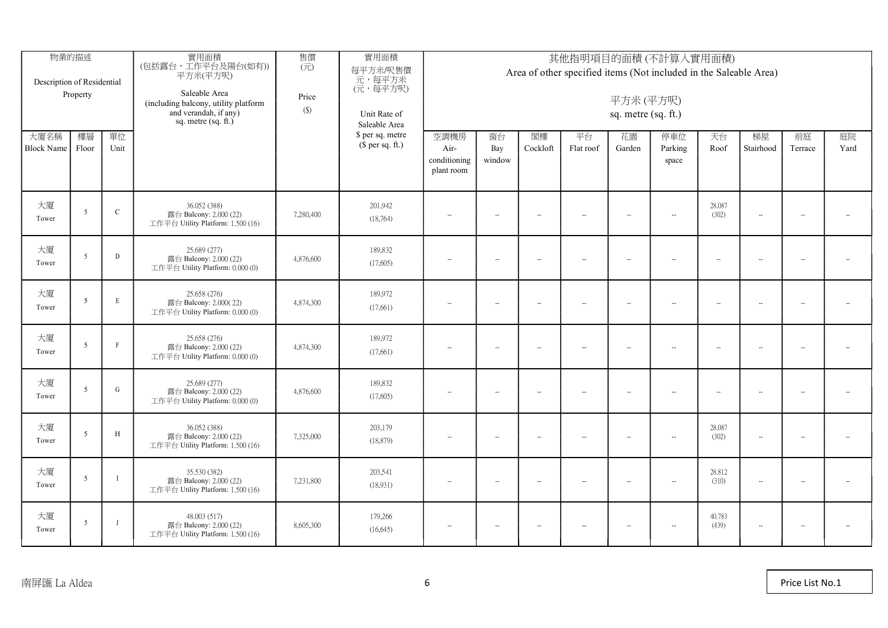| Description of Residential | 物業的描述<br>Property        |              | 實用面積<br>(包括露台,工作平台及陽台(如有))<br>平方米(平方呎)<br>Saleable Area<br>(including balcony, utility platform<br>and verandah, if any)<br>sq. metre $(sq, ft.)$ | 售價<br>$(\vec{\pi})$<br>Price<br>$(\$)$ | 實用面積<br>每平方米/呎售價<br>元,每平方米<br>(元,每平方呎)<br>Unit Rate of<br>Saleable Area |                                            | 其他指明項目的面積(不計算入實用面積)<br>Area of other specified items (Not included in the Saleable Area)<br>平方米(平方呎)<br>sq. metre (sq. ft.) |                          |                             |                          |                             |                          |                          |                          |                          |
|----------------------------|--------------------------|--------------|---------------------------------------------------------------------------------------------------------------------------------------------------|----------------------------------------|-------------------------------------------------------------------------|--------------------------------------------|-----------------------------------------------------------------------------------------------------------------------------|--------------------------|-----------------------------|--------------------------|-----------------------------|--------------------------|--------------------------|--------------------------|--------------------------|
| 大廈名稱<br>Block Name Floor   | 樓層                       | 單位<br>Unit   |                                                                                                                                                   |                                        | \$ per sq. metre<br>$$$ per sq. ft.)                                    | 空調機房<br>Air-<br>conditioning<br>plant room | 窗台<br>Bay<br>window                                                                                                         | 閣樓<br>Cockloft           | 平台<br>Flat roof             | 花園<br>Garden             | 停車位<br>Parking<br>space     | 天台<br>Roof               | 梯屋<br>Stairhood          | 前庭<br>Terrace            | 庭院<br>Yard               |
| 大廈<br>Tower                | $\sim$                   | $\mathbf{C}$ | 36.052 (388)<br>露台 Balcony: 2.000 (22)<br>工作平台 Utility Platform: 1.500 (16)                                                                       | 7,280,400                              | 201,942<br>(18,764)                                                     | $\overline{\phantom{a}}$                   | $\sim$                                                                                                                      | $\sim$                   | $-$                         | $\ddot{\phantom{a}}$     | $\sim$                      | 28.087<br>(302)          | $\sim$                   | $\overline{\phantom{a}}$ | $\sim$                   |
| 大廈<br>Tower                | $\overline{\phantom{a}}$ | D            | 25.689 (277)<br>露台 Balcony: 2.000 (22)<br>工作平台 Utility Platform: 0.000 (0)                                                                        | 4,876,600                              | 189,832<br>(17,605)                                                     | $\overline{\phantom{a}}$                   | $\overline{\phantom{a}}$                                                                                                    | $\overline{\phantom{a}}$ | $\mathcal{L}_{\mathcal{F}}$ | $\sim$                   | $\mathcal{L}_{\mathcal{F}}$ | $\ddotsc$                | $\overline{\phantom{a}}$ | $\sim$                   | $\overline{\phantom{a}}$ |
| 大廈<br>Tower                | 5                        | E            | 25.658 (276)<br>露台 Balcony: 2.000(22)<br>工作平台 Utility Platform: 0.000 (0)                                                                         | 4,874,300                              | 189,972<br>(17,661)                                                     | $\overline{\phantom{a}}$                   | $\overline{\phantom{a}}$                                                                                                    | $\sim$                   | $\sim$                      | $\ddot{\phantom{a}}$     | $\sim$                      | $\ddot{\phantom{a}}$     | $\overline{\phantom{a}}$ | $\overline{\phantom{a}}$ | $\overline{\phantom{a}}$ |
| 大廈<br>Tower                | -5                       | $\mathbf{F}$ | 25.658 (276)<br>露台 Balcony: 2.000 (22)<br>工作平台 Utility Platform: 0.000 (0)                                                                        | 4,874,300                              | 189,972<br>(17,661)                                                     | $\overline{\phantom{a}}$                   | $\sim$                                                                                                                      | $\overline{\phantom{a}}$ | $\sim$                      | $\sim$                   | $\sim$                      | $\overline{\phantom{a}}$ | $\sim$                   | $\overline{\phantom{a}}$ | $\overline{\phantom{a}}$ |
| 大廈<br>Tower                | $\overline{\phantom{0}}$ | $\mathbf G$  | 25.689 (277)<br>露台 Balcony: 2.000 (22)<br>工作平台 Utility Platform: 0.000 (0)                                                                        | 4,876,600                              | 189,832<br>(17,605)                                                     | $\overline{\phantom{a}}$                   | $\overline{\phantom{a}}$                                                                                                    | $\overline{\phantom{a}}$ | $\sim$                      | $\sim$                   | $\sim$                      | $\sim$                   | $\overline{\phantom{a}}$ | $\overline{\phantom{a}}$ | $\overline{\phantom{a}}$ |
| 大廈<br>Tower                | 5                        | $\,$ H       | 36.052 (388)<br>露台 Balcony: 2.000 (22)<br>工作平台 Utility Platform: 1.500 (16)                                                                       | 7,325,000                              | 203,179<br>(18, 879)                                                    | $\overline{\phantom{a}}$                   | $\sim$                                                                                                                      | $\overline{\phantom{a}}$ | $\sim$                      | $\overline{\phantom{a}}$ | $\sim$                      | 28.087<br>(302)          | $\sim$                   | $\overline{\phantom{a}}$ | $\overline{\phantom{a}}$ |
| 大廈<br>Tower                | $\overline{5}$           | $\mathbf{I}$ | 35.530 (382)<br>露台 Balcony: 2.000 (22)<br>工作平台 Utility Platform: 1.500 (16)                                                                       | 7,231,800                              | 203,541<br>(18,931)                                                     | $\overline{\phantom{a}}$                   | $\sim$                                                                                                                      | $\sim$                   | $\sim$                      | $\ddot{\phantom{a}}$     | $\sim$                      | 28.812<br>(310)          | $\overline{\phantom{a}}$ | $\sim$                   | $\overline{\phantom{a}}$ |
| 大廈<br>Tower                | .5                       | $\mathbf{J}$ | 48.003 (517)<br>露台 Balcony: 2.000 (22)<br>工作平台 Utility Platform: 1.500 (16)                                                                       | 8,605,300                              | 179,266<br>(16, 645)                                                    | $\sim$                                     | $\overline{\phantom{a}}$                                                                                                    | Щ.                       | $\sim$                      | $\sim$                   | $\sim$                      | 40.783<br>(439)          | $\sim$                   | $\overline{\phantom{a}}$ | $\overline{\phantom{a}}$ |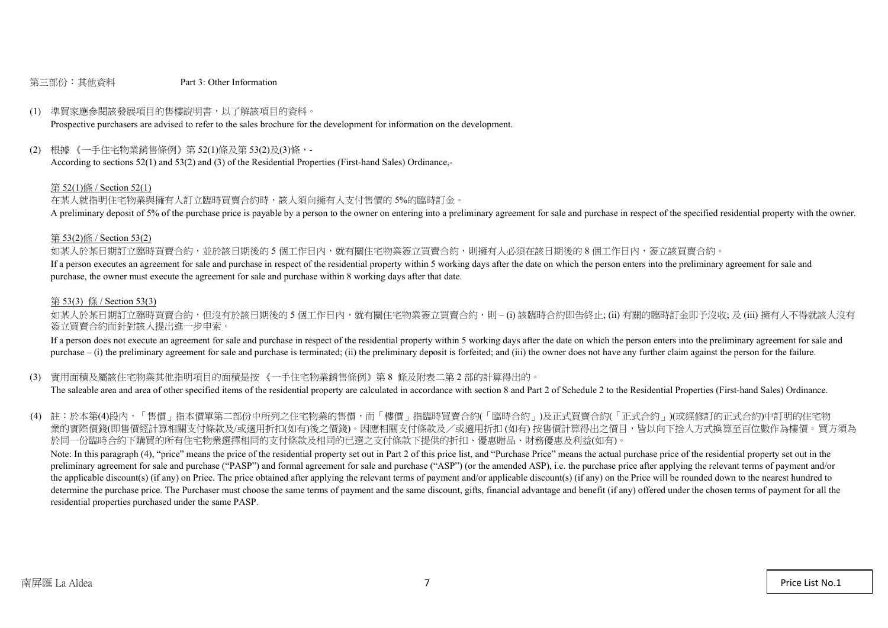#### 第三部份:其他資料 Part 3: Other Information

#### (1) 準買家應參閱該發展項目的售樓說明書,以了解該項目的資料。

Prospective purchasers are advised to refer to the sales brochure for the development for information on the development.

#### (2) 根據 《一手住宅物業銷售條例》第 52(1)條及第 53(2)及(3)條,-

According to sections 52(1) and 53(2) and (3) of the Residential Properties (First-hand Sales) Ordinance,-

#### 第 52(1)條 / Section 52(1)

在某人就指明住宅物業與擁有人訂立臨時買賣合約時,該人須向擁有人支付售價的 5%的臨時訂金。

A preliminary deposit of 5% of the purchase price is payable by a person to the owner on entering into a preliminary agreement for sale and purchase in respect of the specified residential property with the owner.

#### 第 53(2)條 / Section 53(2)

如某人於某日期訂立臨時買賣合約,並於該日期後的5個工作日內,就有關住宅物業簽立買賣合約,則擁有人必須在該日期後的8個工作日內,簽立該買賣合約。 If a person executes an agreement for sale and purchase in respect of the residential property within 5 working days after the date on which the person enters into the preliminary agreement for sale and purchase, the owner must execute the agreement for sale and purchase within 8 working days after that date.

#### 第 53(3) 條 / Section 53(3)

如某人於某日期訂立臨時買賣合約,但沒有於該日期後的 5 個工作日內,就有關住宅物業簽立買賣合約,則 – (i) 該臨時合約即告終止; (ii) 有關的臨時訂金即予沒收; 及 (iii) 擁有人不得就該人沒有 簽立買賣合約而針對該人提出進一步申索。

If a person does not execute an agreement for sale and purchase in respect of the residential property within 5 working days after the date on which the person enters into the preliminary agreement for sale and purchase – (i) the preliminary agreement for sale and purchase is terminated; (ii) the preliminary deposit is forfeited; and (iii) the owner does not have any further claim against the person for the failure.

#### (3) 實用面積及屬該住宅物業其他指明項目的面積是按 《一手住宅物業銷售條例》第 8 條及附表二第 2 部的計算得出的。

The saleable area and area of other specified items of the residential property are calculated in accordance with section 8 and Part 2 of Schedule 2 to the Residential Properties (First-hand Sales) Ordinance.

(4) 註:於本第(4)段內,「售價」指本價單第二部份中所列之住宅物業的售價,而「樓價」指臨時買賣合約(「臨時合約」)及正式買賣合約(「正式合約」)(或經修訂的正式合約)中訂明的住宅物 業的實際價錢(即售價經計算相關支付條款及/或適用折扣(如有)後之價錢)。因應相關支付條款及/或適用折扣 (如有) 按售價計算得出之價目,皆以向下捨入方式換算至百位數作為樓價。買方須為 於同一份臨時合約下購買的所有住宅物業選擇相同的支付條款及相同的已選之支付條款下提供的折扣、優惠贈品、財務優惠及利益(如有)。

Note: In this paragraph (4), "price" means the price of the residential property set out in Part 2 of this price list, and "Purchase Price" means the actual purchase price of the residential property set out in the preliminary agreement for sale and purchase ("PASP") and formal agreement for sale and purchase ("ASP") (or the amended ASP), i.e. the purchase price after applying the relevant terms of payment and/or the applicable discount(s) (if any) on Price. The price obtained after applying the relevant terms of payment and/or applicable discount(s) (if any) on the Price will be rounded down to the nearest hundred to determine the purchase price. The Purchaser must choose the same terms of payment and the same discount, gifts, financial advantage and benefit (if any) offered under the chosen terms of payment for all the residential properties purchased under the same PASP.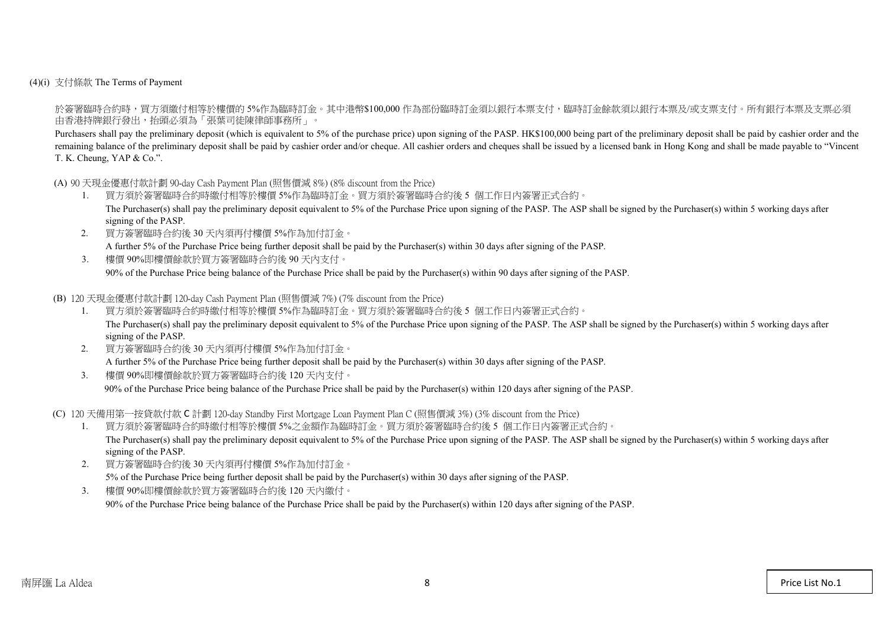(4)(i) 支付條款 The Terms of Payment

於簽署臨時合約時,買方須繳付相等於樓價的 5%作為臨時訂金。其中港幣\$100,000 作為部份臨時訂金須以銀行本票支付,臨時訂金餘款須以銀行本票及/或支票支付。所有銀行本票及支票必須 由香港持牌銀行發出,抬頭必須為「張葉司徒陳律師事務所」。

Purchasers shall pay the preliminary deposit (which is equivalent to 5% of the purchase price) upon signing of the PASP. HK\$100,000 being part of the preliminary deposit shall be paid by cashier order and the remaining balance of the preliminary deposit shall be paid by cashier order and/or cheque. All cashier orders and cheques shall be issued by a licensed bank in Hong Kong and shall be made payable to "Vincent" T. K. Cheung, YAP & Co.".

(A) 90 天現金優惠付款計劃 90-day Cash Payment Plan (照售價減 8%) (8% discount from the Price)

- 1. 買方須於簽署臨時合約時繳付相等於樓價 5%作為臨時訂金。買方須於簽署臨時合約後 5 個工作日內簽署正式合約。 The Purchaser(s) shall pay the preliminary deposit equivalent to 5% of the Purchase Price upon signing of the PASP. The ASP shall be signed by the Purchaser(s) within 5 working days after signing of the PASP.
- 2. 買方簽署臨時合約後 30 天內須再付樓價 5%作為加付訂金。 A further 5% of the Purchase Price being further deposit shall be paid by the Purchaser(s) within 30 days after signing of the PASP.
- 3. 樓價 90%即樓價餘款於買方簽署臨時合約後 90 天內支付。 90% of the Purchase Price being balance of the Purchase Price shall be paid by the Purchaser(s) within 90 days after signing of the PASP.

(B) 120 天現金優惠付款計劃 120-day Cash Payment Plan (照售價減 7%) (7% discount from the Price)

- 1. 買方須於簽署臨時合約時繳付相等於樓價 5%作為臨時訂金。買方須於簽署臨時合約後 5 個工作日內簽署正式合約。 The Purchaser(s) shall pay the preliminary deposit equivalent to 5% of the Purchase Price upon signing of the PASP. The ASP shall be signed by the Purchaser(s) within 5 working days after signing of the PASP.
- 2. 買方簽署臨時合約後 30 天內須再付樓價 5%作為加付訂金。 A further 5% of the Purchase Price being further deposit shall be paid by the Purchaser(s) within 30 days after signing of the PASP.
- 3. 樓價 90%即樓價餘款於買方簽署臨時合約後 120 天內支付。

90% of the Purchase Price being balance of the Purchase Price shall be paid by the Purchaser(s) within 120 days after signing of the PASP.

(C) 120 天備用第一按貸款付款 C 計劃 120-day Standby First Mortgage Loan Payment Plan C (照售價減 3%) (3% discount from the Price)

- 1. 買方須於簽署臨時合約時繳付相等於樓價 5%之金額作為臨時訂金。買方須於簽署臨時合約後 5 個工作日內簽署正式合約。 The Purchaser(s) shall pay the preliminary deposit equivalent to 5% of the Purchase Price upon signing of the PASP. The ASP shall be signed by the Purchaser(s) within 5 working days after signing of the PASP.
- 2. 買方簽署臨時合約後 30 天內須再付樓價 5%作為加付訂金。 5% of the Purchase Price being further deposit shall be paid by the Purchaser(s) within 30 days after signing of the PASP.
- 3. 樓價 90%即樓價餘款於買方簽署臨時合約後 120 天內繳付。

90% of the Purchase Price being balance of the Purchase Price shall be paid by the Purchaser(s) within 120 days after signing of the PASP.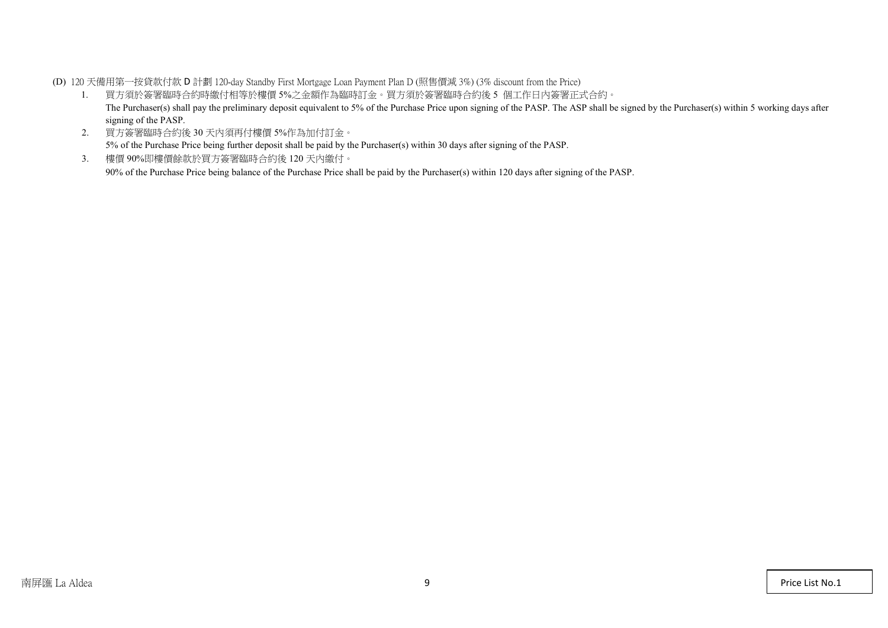(D) 120 天備用第一按貸款付款 D 計劃 120-day Standby First Mortgage Loan Payment Plan D (照售價減 3%) (3% discount from the Price)

- 1. 買方須於簽署臨時合約時繳付相等於樓價 5%之金額作為臨時訂金。買方須於簽署臨時合約後 5 個工作日內簽署正式合約。 The Purchaser(s) shall pay the preliminary deposit equivalent to 5% of the Purchase Price upon signing of the PASP. The ASP shall be signed by the Purchaser(s) within 5 working days after signing of the PASP.
- 2. 買方簽署臨時合約後 30 天內須再付樓價 5%作為加付訂金。 5% of the Purchase Price being further deposit shall be paid by the Purchaser(s) within 30 days after signing of the PASP.
- 3. 樓價 90%即樓價餘款於買方簽署臨時合約後 120 天內繳付。 90% of the Purchase Price being balance of the Purchase Price shall be paid by the Purchaser(s) within 120 days after signing of the PASP.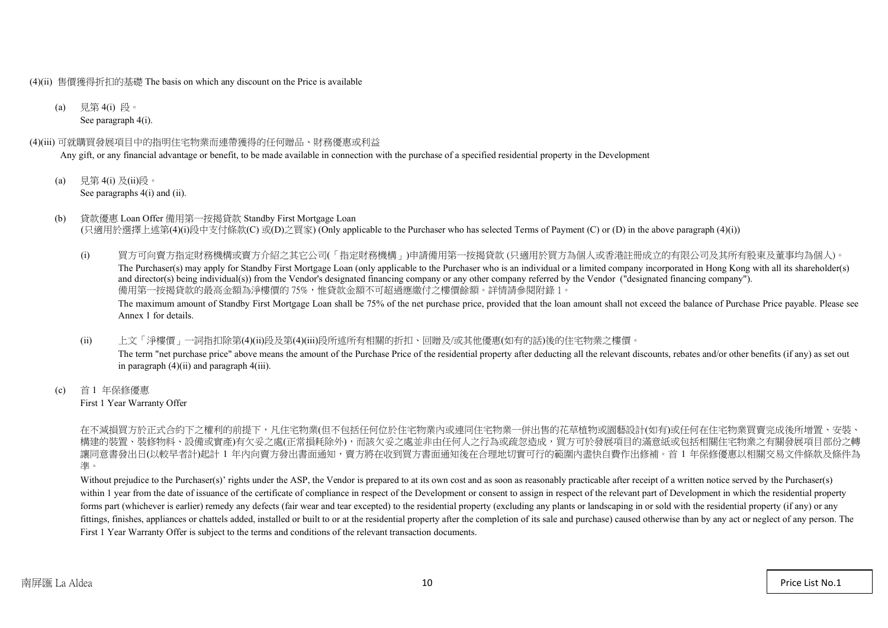(4)(ii) 售價獲得折扣的基礎 The basis on which any discount on the Price is available

(a) 見第 4(i) 段。 See paragraph 4(i).

#### (4)(iii) 可就購買發展項目中的指明住宅物業而連帶獲得的任何贈品、財務優惠或利益

Any gift, or any financial advantage or benefit, to be made available in connection with the purchase of a specified residential property in the Development

- (a) 見第 4(i) 及(ii)段。 See paragraphs  $4(i)$  and  $(ii)$ .
- (b) 貸款優惠 Loan Offer 備用第一按揭貸款 Standby First Mortgage Loan (只適用於選擇上述第(4)(i)段中支付條款(C) 或(D)之買家) (Only applicable to the Purchaser who has selected Terms of Payment (C) or (D) in the above paragraph (4)(i))
	- (i) 買方可向賣方指定財務機構或賣方介紹之其它公司(「指定財務機構」)申請備用第一按揭貸款 (只適用於買方為個人或香港註冊成立的有限公司及其所有股東及董事均為個人)。 The Purchaser(s) may apply for Standby First Mortgage Loan (only applicable to the Purchaser who is an individual or a limited company incorporated in Hong Kong with all its shareholder(s) and director(s) being individual(s)) from the Vendor's designated financing company or any other company referred by the Vendor ("designated financing company"). 備用第一按揭貸款的最高金額為淨樓價的 75%,惟貸款金額不可超過應繳付之樓價餘額。詳情請參閱附錄 1。 The maximum amount of Standby First Mortgage Loan shall be 75% of the net purchase price, provided that the loan amount shall not exceed the balance of Purchase Price payable. Please see Annex 1 for details.
	- (ii) 上文「淨樓價」一詞指扣除第(4)(ii)段及第(4)(iii)段所述所有相關的折扣、回贈及/或其他優惠(如有的話)後的住宅物業之樓價。 The term "net purchase price" above means the amount of the Purchase Price of the residential property after deducting all the relevant discounts, rebates and/or other benefits (if any) as set out in paragraph (4)(ii) and paragraph 4(iii).
- (c) 首 1 年保修優惠 First 1 Year Warranty Offer

在不減損買方於正式合約下之權利的前提下,凡住宅物業(但不包括任何位於住宅物業內或連同住宅物業一併出售的花草植物或園藝設計(如有)或任何在住宅物業買賣完成後所增置、 構建的裝置、裝修物料、設備或實產)有欠妥之處(正常損耗除外),而該欠妥之處並非由任何人之行為或疏忽造成,買方可於發展項目的滿意紙或包括相關住宅物業之有關發展項目 讓同意書發出日(以較早者計)起計 1 年內向賣方發出書面通知,賣方將在收到買方書面通知後在合理地切實可行的範圍內盡快自費作出修補。首 1 年保修優惠以相關交易文件條款及條件為 準。

Without prejudice to the Purchaser(s)' rights under the ASP, the Vendor is prepared to at its own cost and as soon as reasonably practicable after receipt of a written notice served by the Purchaser(s) within 1 year from the date of issuance of the certificate of compliance in respect of the Development or consent to assign in respect of the relevant part of Development in which the residential property forms part (whichever is earlier) remedy any defects (fair wear and tear excepted) to the residential property (excluding any plants or landscaping in or sold with the residential property (if any) or any fittings, finishes, appliances or chattels added, installed or built to or at the residential property after the completion of its sale and purchase) caused otherwise than by any act or neglect of any person. The First 1 Year Warranty Offer is subject to the terms and conditions of the relevant transaction documents.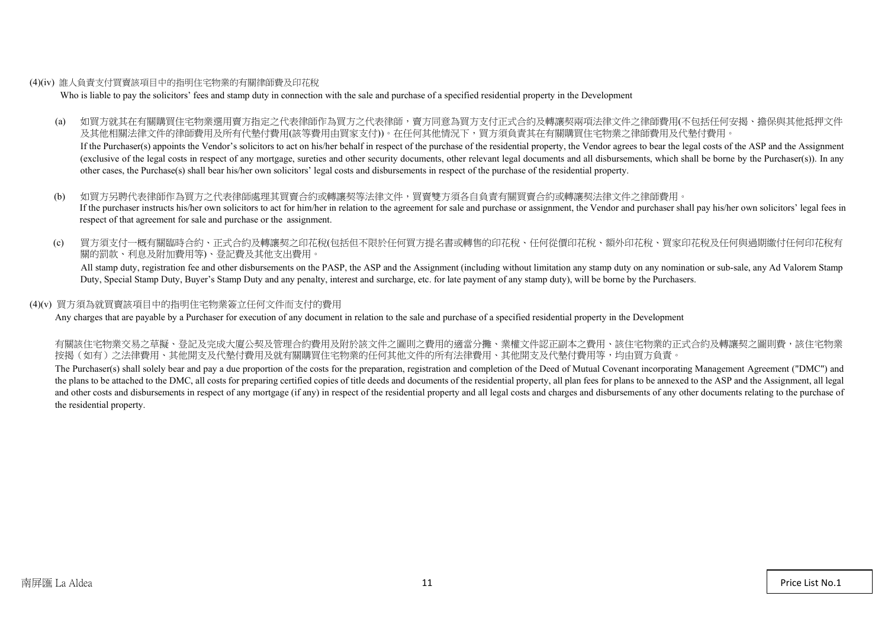#### (4)(iv) 誰人負責支付買賣該項目中的指明住宅物業的有關律師費及印花稅

Who is liable to pay the solicitors' fees and stamp duty in connection with the sale and purchase of a specified residential property in the Development

(a) 如買方就其在有關購買住宅物業選用賣方指定之代表律師作為買方之代表律師,賣方同意為買方支付正式合約及轉讓契兩項法律文件之律師費用(不包括任何安揭、擔保與其他抵押文件 及其他相關法律文件的律師費用及所有代墊付費用(該等費用由買家支付))。在任何其他情況下,買方須負責其在有關購買住宅物業之律師費用及代墊付費用。

If the Purchaser(s) appoints the Vendor's solicitors to act on his/her behalf in respect of the purchase of the residential property, the Vendor agrees to bear the legal costs of the ASP and the Assignment (exclusive of the legal costs in respect of any mortgage, sureties and other security documents, other relevant legal documents and all disbursements, which shall be borne by the Purchaser(s)). In any other cases, the Purchase(s) shall bear his/her own solicitors' legal costs and disbursements in respect of the purchase of the residential property.

- (b) 如買方另聘代表律師作為買方之代表律師處理其買賣合約或轉讓契等法律文件,買賣雙方須各自負責有關買賣合約或轉讓契法律文件之律師費用。 If the purchaser instructs his/her own solicitors to act for him/her in relation to the agreement for sale and purchase or assignment, the Vendor and purchaser shall pay his/her own solicitors' legal fees in respect of that agreement for sale and purchase or the assignment.
- (c) 買方須支付一概有關臨時合約、正式合約及轉讓契之印花稅(包括但不限於任何買方提名書或轉售的印花稅、任何從價印花稅、額外印花稅、買家印花稅及任何與過期繳付任何印花稅有 關的罰款、利息及附加費用等)、登記費及其他支出費用。

All stamp duty, registration fee and other disbursements on the PASP, the ASP and the Assignment (including without limitation any stamp duty on any nomination or sub-sale, any Ad Valorem Stamp Duty, Special Stamp Duty, Buyer's Stamp Duty and any penalty, interest and surcharge, etc. for late payment of any stamp duty), will be borne by the Purchasers.

#### (4)(v) 買方須為就買賣該項目中的指明住宅物業簽立任何文件而支付的費用

Any charges that are payable by a Purchaser for execution of any document in relation to the sale and purchase of a specified residential property in the Development

有關該住宅物業交易之草擬、登記及完成大廈公契及管理合約費用及附於該文件之圖則之費用的適當分攤、業權文件認正副本之費用、該住宅物業的正式合約及轉讓契之圖則費,該住宅物業 按揭(如有)之法律費用、其他開支及代墊付費用及就有關購買住宅物業的任何其他文件的所有法律費用、其他開支及代墊付費用等,均由買方負責。

The Purchaser(s) shall solely bear and pay a due proportion of the costs for the preparation, registration and completion of the Deed of Mutual Covenant incorporating Management Agreement ("DMC") and the plans to be attached to the DMC, all costs for preparing certified copies of title deeds and documents of the residential property, all plan fees for plans to be annexed to the ASP and the Assignment, all legal and other costs and disbursements in respect of any mortgage (if any) in respect of the residential property and all legal costs and charges and disbursements of any other documents relating to the purchase of the residential property.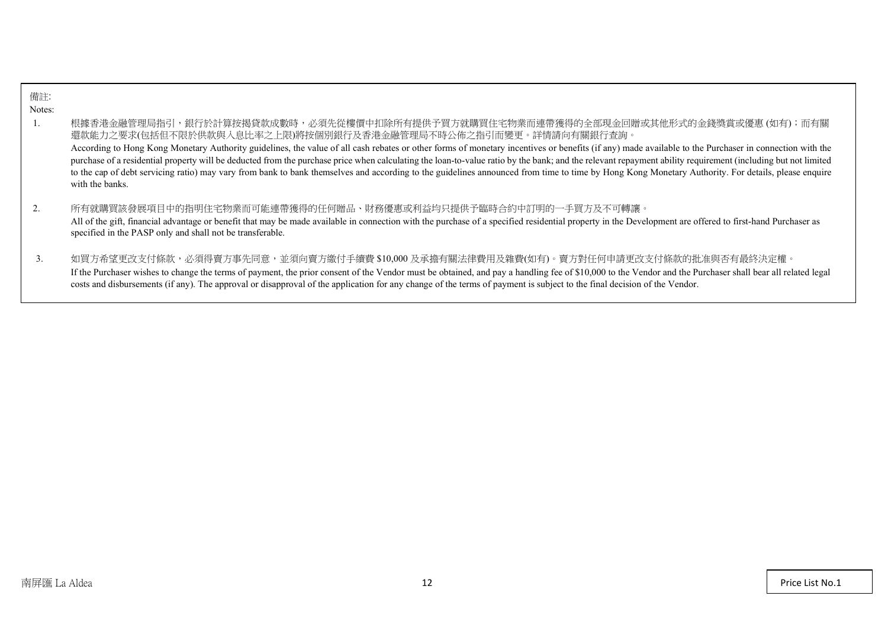| 備註:    |                                                                                                                                                                                                                                                                                                                                                                                                                                                                                                                                                                                                                                                                                                                                                                                                     |
|--------|-----------------------------------------------------------------------------------------------------------------------------------------------------------------------------------------------------------------------------------------------------------------------------------------------------------------------------------------------------------------------------------------------------------------------------------------------------------------------------------------------------------------------------------------------------------------------------------------------------------------------------------------------------------------------------------------------------------------------------------------------------------------------------------------------------|
| Notes: |                                                                                                                                                                                                                                                                                                                                                                                                                                                                                                                                                                                                                                                                                                                                                                                                     |
|        | 根據香港金融管理局指引,銀行於計算按揭貸款成數時,必須先從樓價中扣除所有提供予買方就購買住宅物業而連帶獲得的全部現金回贈或其他形式的金錢獎賞或優惠(如有);而有關<br>還款能力之要求(包括但不限於供款與入息比率之上限)將按個別銀行及香港金融管理局不時公佈之指引而變更。詳情請向有關銀行查詢。<br>According to Hong Kong Monetary Authority guidelines, the value of all cash rebates or other forms of monetary incentives or benefits (if any) made available to the Purchaser in connection with the<br>purchase of a residential property will be deducted from the purchase price when calculating the loan-to-value ratio by the bank; and the relevant repayment ability requirement (including but not limited<br>to the cap of debt servicing ratio) may vary from bank to bank themselves and according to the guidelines announced from time to time by Hong Kong Monetary Authority. For details, please enquire<br>with the banks. |
|        | 所有就購買該發展項目中的指明住宅物業而可能連帶獲得的任何贈品、財務優惠或利益均只提供予臨時合約中訂明的一手買方及不可轉讓。<br>All of the gift, financial advantage or benefit that may be made available in connection with the purchase of a specified residential property in the Development are offered to first-hand Purchaser as<br>specified in the PASP only and shall not be transferable.                                                                                                                                                                                                                                                                                                                                                                                                                                                              |
| 3.     | 如買方希望更改支付條款,必須得賣方事先同意,並須向賣方繳付手續費 \$10,000 及承擔有關法律費用及雜費(如有)。賣方對任何申請更改支付條款的批准與否有最終決定權。<br>If the Purchaser wishes to change the terms of payment, the prior consent of the Vendor must be obtained, and pay a handling fee of \$10,000 to the Vendor and the Purchaser shall bear all related legal<br>costs and disbursements (if any). The approval or disapproval of the application for any change of the terms of payment is subject to the final decision of the Vendor.                                                                                                                                                                                                                                                                                                                        |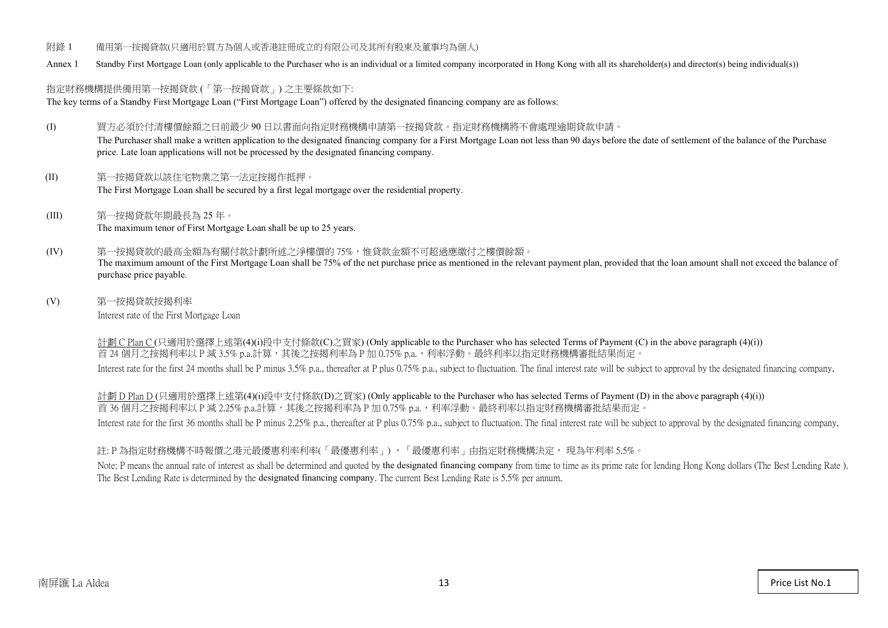- 附錄 1 備用第一按揭貸款(只適用於買方為個人或香港註冊成立的有限公司及其所有股東及董事均為個人)
- Annex 1 Standby First Mortgage Loan (only applicable to the Purchaser who is an individual or a limited company incorporated in Hong Kong with all its shareholder(s) and director(s) being individual(s))

## 指定財務機構提供備用第一按揭貸款 (「第一按揭貸款」) 之主要條款如下:

The key terms of a Standby First Mortgage Loan ("First Mortgage Loan") offered by the designated financing company are as follows:

- (I) 買方必須於付清樓價餘額之日前最少 90 日以書面向指定財務機構申請第一按揭貸款。指定財務機構將不會處理逾期貸款申請。 The Purchaser shall make a written application to the designated financing company for a First Mortgage Loan not less than 90 days before the date of settlement of the balance of the Purchase price. Late loan applications will not be processed by the designated financing company.
- (II) 第一按揭貸款以該住宅物業之第一法定按揭作抵押。 The First Mortgage Loan shall be secured by a first legal mortgage over the residential property.
- (III) 第一按揭貸款年期最長為 25 年。 The maximum tenor of First Mortgage Loan shall be up to 25 years.
- (IV) 第一按揭貸款的最高金額為有關付款計劃所述之淨樓價的 75%,惟貸款金額不可超過應繳付之樓價餘額。 The maximum amount of the First Mortgage Loan shall be 75% of the net purchase price as mentioned in the relevant payment plan, provided that the loan amount shall not exceed the balance of purchase price payable.
- (V) 第一按揭貸款按揭利率 Interest rate of the First Mortgage Loan

計劃 C Plan C (只適用於選擇上述第(4)(i)段中支付條款(C)之買家) (Only applicable to the Purchaser who has selected Terms of Payment (C) in the above paragraph (4)(i)) 首 24個月之按揭利率以 P 減 3.5% p.a.計算,其後之按揭利率為 P 加 0.75% p.a.,利率浮動。最終利率以指定財務機構審批結果而定。 Interest rate for the first 24 months shall be P minus 3.5% p.a., thereafter at P plus 0.75% p.a., subject to fluctuation. The final interest rate will be subject to approval by the designated financing company.

計劃 D Plan D (只適用於選擇上述第(4)(i)段中支付條款(D)之買家) (Only applicable to the Purchaser who has selected Terms of Payment (D) in the above paragraph (4)(i)) 首 36個月之按揭利率以 P 減 2.25% p.a.計算,其後之按揭利率為 P 加 0.75% p.a., 利率浮動。最終利率以指定財務機構審批結果而定。 Interest rate for the first 36 months shall be P minus 2.25% p.a., thereafter at P plus 0.75% p.a., subject to fluctuation. The final interest rate will be subject to approval by the designated financing company.

## 註: P 為指定財務機構不時報價之港元最優惠利率利率(「最優惠利率」) ,「最優惠利率」由指定財務機構決定, 現為年利率 5.5%。

Note: P means the annual rate of interest as shall be determined and quoted by the designated financing company from time to time as its prime rate for lending Hong Kong dollars (The Best Lending Rate). The Best Lending Rate is determined by the designated financing company. The current Best Lending Rate is 5.5% per annum.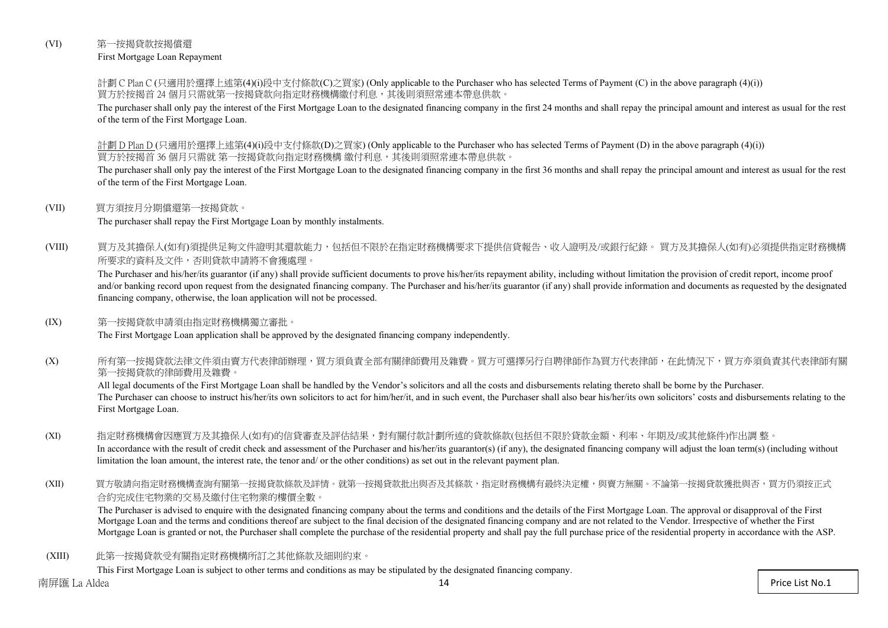## (VI) 第一按揭貸款按揭償還

First Mortgage Loan Repayment

計劃 C Plan C (只適用於選擇上述第(4)(i)段中支付條款(C)之買家) (Only applicable to the Purchaser who has selected Terms of Payment (C) in the above paragraph (4)(i)) 買方於按揭首 24 個月只需就第一按揭貸款向指定財務機構繳付利息,其後則須照常連本帶息供款。

The purchaser shall only pay the interest of the First Mortgage Loan to the designated financing company in the first 24 months and shall repay the principal amount and interest as usual for the rest of the term of the First Mortgage Loan.

計劃 D Plan D (只適用於選擇上述第(4)(i)段中支付條款(D)之買家) (Only applicable to the Purchaser who has selected Terms of Payment (D) in the above paragraph (4)(i)) 買方於按揭首 36 個月只需就 第一按揭貸款向指定財務機構 繳付利息,其後則須照常連本帶息供款。

The purchaser shall only pay the interest of the First Mortgage Loan to the designated financing company in the first 36 months and shall repay the principal amount and interest as usual for the rest of the term of the First Mortgage Loan.

#### (VII) 買方須按月分期償還第一按揭貸款。

The purchaser shall repay the First Mortgage Loan by monthly instalments.

(VIII) 買方及其擔保人(如有)須提供足夠文件證明其還款能力,包括但不限於在指定財務機構要求下提供信貸報告、收入證明及/或銀行紀錄。 買方及其擔保人(如有)必須提供指定財務機構 所要求的資料及文件,否則貸款申請將不會獲處理。

The Purchaser and his/her/its guarantor (if any) shall provide sufficient documents to prove his/her/its repayment ability, including without limitation the provision of credit report, income proof and/or banking record upon request from the designated financing company. The Purchaser and his/her/its guarantor (if any) shall provide information and documents as requested by the designated financing company, otherwise, the loan application will not be processed.

#### (IX) 第一按揭貸款申請須由指定財務機構獨立審批。

The First Mortgage Loan application shall be approved by the designated financing company independently.

(X) 所有第一按揭貸款法律文件須由賣方代表律師辦理,買方須負責全部有關律師費用及雜費。買方可選擇另行自聘律師作為買方代表律師,在此情況下,買方亦須負責其代表律師有關 第一按揭貸款的律師費用及雜費。

All legal documents of the First Mortgage Loan shall be handled by the Vendor's solicitors and all the costs and disbursements relating thereto shall be borne by the Purchaser. The Purchaser can choose to instruct his/her/its own solicitors to act for him/her/it, and in such event, the Purchaser shall also bear his/her/its own solicitors' costs and disbursements relating to the First Mortgage Loan.

- (XI) 指定財務機構會因應買方及其擔保人(如有)的信貸審查及評估結果,對有關付款計劃所述的貸款條款(包括但不限於貸款金額、利率、年期及/或其他條件)作出調 整。 In accordance with the result of credit check and assessment of the Purchaser and his/her/its guarantor(s) (if any), the designated financing company will adjust the loan term(s) (including without limitation the loan amount, the interest rate, the tenor and/ or the other conditions) as set out in the relevant payment plan.
- (XII) 買方敬請向指定財務機構查詢有關第一按揭貸款條款及詳情。就第一按揭貸款批出與否及其條款,指定財務機構有最終決定權,與賣方無關。不論第一按揭貸款獲批與否,買方仍須按正式 合約完成住宅物業的交易及繳付住宅物業的樓價全數。

The Purchaser is advised to enquire with the designated financing company about the terms and conditions and the details of the First Mortgage Loan. The approval or disapproval of the First Mortgage Loan and the terms and conditions thereof are subject to the final decision of the designated financing company and are not related to the Vendor. Irrespective of whether the First Mortgage Loan is granted or not, the Purchaser shall complete the purchase of the residential property and shall pay the full purchase price of the residential property in accordance with the ASP.

(XIII) 此第一按揭貸款受有關指定財務機構所訂之其他條款及細則約束。

This First Mortgage Loan is subject to other terms and conditions as may be stipulated by the designated financing company.